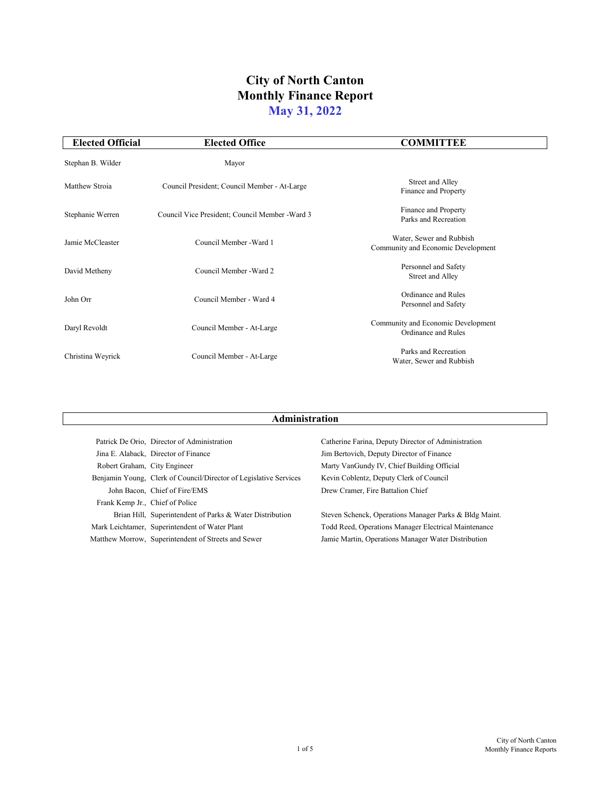|                                 | Patrick De Orio, Director of Administration                       | Catherine Farina, Deputy Director of Administration    |
|---------------------------------|-------------------------------------------------------------------|--------------------------------------------------------|
|                                 | Jina E. Alaback, Director of Finance                              | Jim Bertovich, Deputy Director of Finance              |
| Robert Graham, City Engineer    |                                                                   | Marty VanGundy IV, Chief Building Official             |
|                                 | Benjamin Young, Clerk of Council/Director of Legislative Services | Kevin Coblentz, Deputy Clerk of Council                |
|                                 | John Bacon, Chief of Fire/EMS                                     | Drew Cramer, Fire Battalion Chief                      |
| Frank Kemp Jr., Chief of Police |                                                                   |                                                        |
|                                 | Brian Hill, Superintendent of Parks & Water Distribution          | Steven Schenck, Operations Manager Parks & Bldg Maint. |
|                                 | Mark Leichtamer, Superintendent of Water Plant                    | Todd Reed, Operations Manager Electrical Maintenance   |
|                                 | Matthew Morrow, Superintendent of Streets and Sewer               | Jamie Martin, Operations Manager Water Distribution    |

| <b>Elected Official</b> | <b>Elected Office</b>                           | <b>COMMITTEE</b>                                                 |
|-------------------------|-------------------------------------------------|------------------------------------------------------------------|
| Stephan B. Wilder       | Mayor                                           |                                                                  |
| Matthew Stroia          | Council President; Council Member - At-Large    | <b>Street and Alley</b><br>Finance and Property                  |
| Stephanie Werren        | Council Vice President; Council Member - Ward 3 | Finance and Property<br>Parks and Recreation                     |
| Jamie McCleaster        | Council Member - Ward 1                         | Water, Sewer and Rubbish<br>Community and Economic Development   |
| David Metheny           | Council Member - Ward 2                         | Personnel and Safety<br><b>Street and Alley</b>                  |
| John Orr                | Council Member - Ward 4                         | <b>Ordinance and Rules</b><br>Personnel and Safety               |
| Daryl Revoldt           | Council Member - At-Large                       | Community and Economic Development<br><b>Ordinance and Rules</b> |
| Christina Weyrick       | Council Member - At-Large                       | Parks and Recreation<br>Water, Sewer and Rubbish                 |

### **Administration**

# **City of North Canton Monthly Finance Report May 31, 2022**

1 of 5

City of North Canton Monthly Finance Reports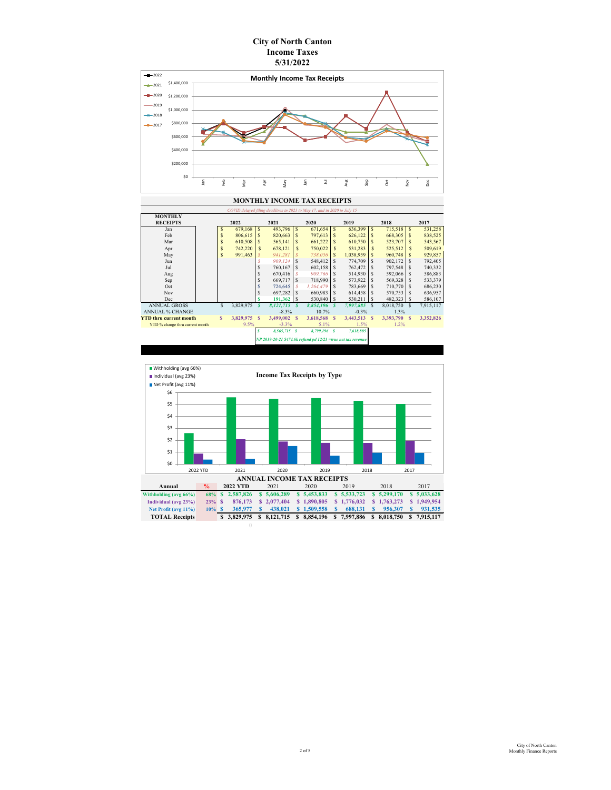| COVID delayed filing deadlines in 2021 to May 17, and in 2020 to July 15 |  |                           |                |                            |                |                           |           |                           |                                                                 |               |              |              |           |  |
|--------------------------------------------------------------------------|--|---------------------------|----------------|----------------------------|----------------|---------------------------|-----------|---------------------------|-----------------------------------------------------------------|---------------|--------------|--------------|-----------|--|
| <b>MONTHLY</b>                                                           |  |                           |                |                            |                |                           |           |                           |                                                                 |               |              |              |           |  |
| <b>RECEIPTS</b>                                                          |  | 2022                      |                | 2021                       |                | 2020                      |           |                           | 2019                                                            |               | 2018         |              | 2017      |  |
| Jan                                                                      |  | $\boldsymbol{\mathsf{S}}$ | 679,168        | $\mathbb{S}$               | 493,796        | $\boldsymbol{\mathsf{S}}$ | 671,654   | $\mathcal{S}$             | 636,399                                                         | $\mathcal{S}$ |              |              | 531,258   |  |
| Feb                                                                      |  | \$                        | 806,615        | <sup>S</sup>               | 820,663        | $\mathbb{S}$              | 797,613   | $\mathbb{S}$              | 626,122                                                         | $\mathbb{S}$  | 668,305      | <sup>S</sup> | 838,525   |  |
| Mar                                                                      |  | \$                        | 610,508        | \$                         | 565,141        | $\mathbb{S}$              | 661,222   | $\mathbb{S}$              | 610,750                                                         | <sup>S</sup>  | 523,707      |              | 543,567   |  |
| Apr                                                                      |  | \$                        | 742,220        | $\mathbb{S}$               | 678,121        | $\mathbb{S}$              | 750,022   | $\boldsymbol{\mathsf{S}}$ | 531,283                                                         | $\mathbb{S}$  | 525,512      | $\mathbb{S}$ | 509,619   |  |
| May                                                                      |  | \$                        | 991,463        | $\mathcal S$               | 941,281        | $\mathcal S$              | 738,056   | $\boldsymbol{\mathsf{S}}$ | 1,038,959                                                       | $\mathbb{S}$  | 960,748      | $\mathbb{S}$ | 929,857   |  |
| Jun                                                                      |  |                           |                | $\mathcal S$               | 909,124        | $\mathbb{S}$              | 548,412   | $\boldsymbol{\mathsf{S}}$ | 774,709                                                         | <sup>\$</sup> | 902,172      | $\mathbb{S}$ | 792,405   |  |
| Jul                                                                      |  |                           |                | \$                         | 760,167        | $\mathbb{S}$              | 602,158   | \$                        | 762,472                                                         | <sup>S</sup>  | 797,548      | $\mathbb{S}$ | 740,332   |  |
| Aug                                                                      |  |                           |                | \$                         | 670,416        | $\mathcal{S}$             | 909,766   | $\mathbb{S}$              | 514,930                                                         | <sup>\$</sup> | 592,066      | <sup>S</sup> | 586,883   |  |
| Sep                                                                      |  |                           |                | \$                         | 669,717        | $\mathbb{S}$              | 718,990   | \$                        | 573,922                                                         | $\mathcal{S}$ | 569,328      | $\mathbb{S}$ | 533,379   |  |
| Oct                                                                      |  |                           |                | \$                         | 724,645        | $\mathcal{S}$             | 1,264,479 | \$                        | 783,669                                                         | $\mathbb{S}$  | 710,770      | <sup>S</sup> | 686,230   |  |
| <b>Nov</b>                                                               |  |                           |                | \$                         | 697,282        | $\mathbb{S}$              | 660,983   | \$                        | 614,458                                                         | <sup>\$</sup> | 570,753      | $\mathbb{S}$ | 636,957   |  |
| Dec                                                                      |  |                           |                | $\mathbf S$                | 191,362        | $\mathbb{S}$              | 530,840   | $\mathcal{S}$             | 530,211                                                         | $\mathbb{S}$  | 482,323      | <sup>S</sup> | 586,107   |  |
| <b>ANNUAL GROSS</b>                                                      |  | $\mathbb{S}$              | 3,829,975      | $\boldsymbol{\mathcal{S}}$ | 8,121,715      |                           | 8,854,196 | $\boldsymbol{s}$          | 7,997,885                                                       | $\mathbb{S}$  | 8,018,750    | <sup>S</sup> | 7,915,117 |  |
| <b>ANNUAL % CHANGE</b>                                                   |  |                           |                |                            | $-8.3\%$       |                           | $10.7\%$  |                           | $-0.3\%$                                                        |               | $1.3\%$      |              |           |  |
| <b>YTD thru current month</b>                                            |  | $\mathbf{\$}$             | 3,829,975      | $\mathbf{s}$               | 3,499,002      | $\mathbf{s}$              | 3,618,568 | $\mathbf{s}$              | 3,443,513                                                       | $\mathbf{s}$  | 3,393,790 \$ |              | 3,352,826 |  |
| YTD % change thru current month                                          |  | 9.5%                      |                | $-3.3\%$                   |                | 5.1%                      |           | 1.5%                      |                                                                 | 1.2%          |              |              |           |  |
|                                                                          |  | S                         | $8,565,715$ \$ |                            | $8,799,196$ \$ |                           | 7,618,885 |                           |                                                                 |               |              |              |           |  |
|                                                                          |  |                           |                |                            |                |                           |           |                           | $NP$ 2019-20-21 \$474.6k refund pd 12/21 = true net tax revenue |               |              |              |           |  |

- Withholding (avg 66%)
- Individual (avg 23%)

#### **MONTHLY INCOME TAX RECEIPTS**

## **City of North Canton Income Taxes 5/31/2022**





**Income Tax Receipts by Type**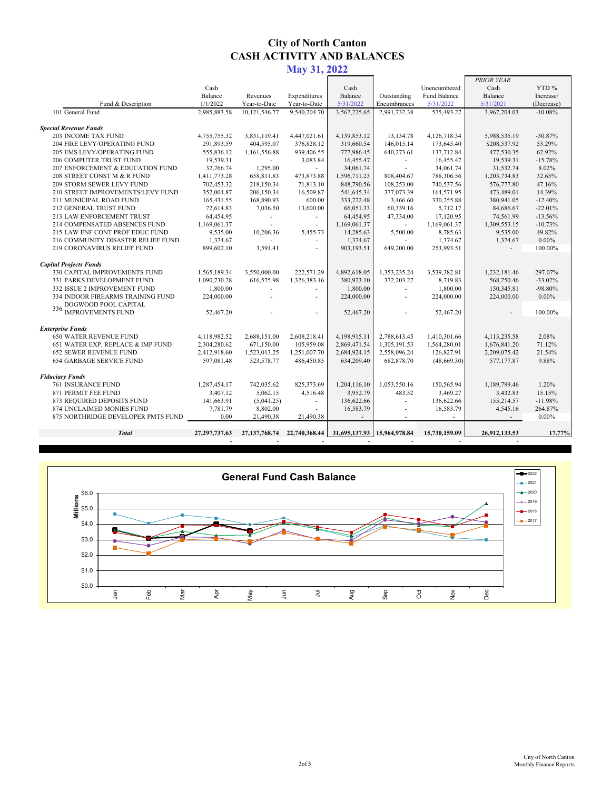|                                    |                  |                  |               |                                 |              |                     | PRIOR YEAR              |            |
|------------------------------------|------------------|------------------|---------------|---------------------------------|--------------|---------------------|-------------------------|------------|
|                                    | Cash             |                  |               | Cash                            |              | Unencumbered        | Cash                    | YTD %      |
|                                    | Balance          | Revenues         | Expenditures  | Balance                         | Outstanding  | <b>Fund Balance</b> | Balance                 | Increase/  |
| Fund & Description                 | 1/1/2022         | Year-to-Date     | Year-to-Date  | 5/31/2022                       | Encumbrances | 5/31/2022           | 5/31/2021               | (Decrease) |
| 101 General Fund                   | 2,985,883.58     | 10,121,546.77    | 9,540,204.70  | 3,567,225.65                    | 2,991,732.38 | 575,493.27          | 3,967,204.03            | $-10.08%$  |
| <b>Special Revenue Funds</b>       |                  |                  |               |                                 |              |                     |                         |            |
| <b>203 INCOME TAX FUND</b>         | 4,755,755.32     | 3,831,119.41     | 4,447,021.61  | 4,139,853.12                    | 13,134.78    | 4,126,718.34        | 5,988,535.19            | $-30.87%$  |
| 204 FIRE LEVY/OPERATING FUND       | 291,893.59       | 404,595.07       | 376,828.12    | 319,660.54                      | 146,015.14   | 173,645.40          | \$208,537.92            | 53.29%     |
| 205 EMS LEVY/OPERATING FUND        | 555,836.12       | 1,161,556.88     | 939,406.55    | 777,986.45                      | 640,273.61   | 137,712.84          | 477,530.35              | 62.92%     |
| <b>206 COMPUTER TRUST FUND</b>     | 19,539.31        |                  | 3,083.84      | 16,455.47                       |              | 16,455.47           | 19,539.31               | $-15.78%$  |
| 207 ENFORCEMENT & EDUCATION FUND   | 32,766.74        | 1,295.00         |               | 34,061.74                       |              | 34,061.74           | 31,532.74               | 8.02%      |
| 208 STREET CONST M & R FUND        | 1,411,773.28     | 658,811.83       | 473,873.88    | 1,596,711.23                    | 808,404.67   | 788,306.56          | 1,203,734.83            | 32.65%     |
| <b>209 STORM SEWER LEVY FUND</b>   | 702,453.32       | 218,150.34       | 71,813.10     | 848,790.56                      | 108,253.00   | 740,537.56          | 576,777.80              | 47.16%     |
| 210 STREET IMPROVEMENTS/LEVY FUND  | 352,004.87       | 206,150.34       | 16,509.87     | 541,645.34                      | 377,073.39   | 164,571.95          | 473,489.01              | 14.39%     |
| 211 MUNICIPAL ROAD FUND            | 165,431.55       | 168,890.93       | 600.00        | 333,722.48                      | 3,466.60     | 330,255.88          | 380,941.05              | $-12.40%$  |
| 212 GENERAL TRUST FUND             | 72,614.83        | 7,036.50         | 13,600.00     | 66,051.33                       | 60,339.16    | 5,712.17            | 84,686.67               | $-22.01%$  |
| 213 LAW ENFORCEMENT TRUST          | 64,454.95        |                  |               | 64,454.95                       | 47,334.00    | 17,120.95           | 74,561.99               | $-13.56%$  |
| 214 COMPENSATED ABSENCES FUND      | 1,169,061.37     |                  |               | 1,169,061.37                    |              | 1,169,061.37        | 1,309,553.15            | $-10.73%$  |
| 215 LAW ENF CONT PROF EDUC FUND    | 9,535.00         | 10,206.36        | 5,455.73      | 14,285.63                       | 5,500.00     | 8,785.63            | 9,535.00                | 49.82%     |
| 216 COMMUNITY DISASTER RELIEF FUND | 1,374.67         |                  |               | 1,374.67                        |              | 1,374.67            | 1,374.67                | $0.00\%$   |
| 219 CORONAVIRUS RELIEF FUND        | 899,602.10       | 3,591.41         |               | 903,193.51                      | 649,200.00   | 253,993.51          |                         | 100.00%    |
| <b>Capital Projects Funds</b>      |                  |                  |               |                                 |              |                     |                         |            |
| 330 CAPITAL IMPROVEMENTS FUND      | 1,565,189.34     | 3,550,000.00     | 222,571.29    | 4,892,618.05                    | 1,353,235.24 | 3,539,382.81        | 1,232,181.46            | 297.07%    |
| 331 PARKS DEVELOPMENT FUND         | 1,090,730.28     | 616,575.98       | 1,326,383.16  | 380,923.10                      | 372,203.27   | 8,719.83            | 568,750.46              | $-33.02\%$ |
| 332 ISSUE 2 IMPROVEMENT FUND       | 1,800.00         |                  |               | 1,800.00                        |              | 1,800.00            | 150,345.81              | $-98.80\%$ |
| 334 INDOOR FIREARMS TRAINING FUND  | 224,000.00       |                  |               | 224,000.00                      |              | 224,000.00          | 224,000.00              | $0.00\%$   |
| DOGWOOD POOL CAPITAL<br>336        |                  |                  |               |                                 |              |                     |                         |            |
| <b>IMPROVEMENTS FUND</b>           | 52,467.20        |                  |               | 52,467.20                       |              | 52,467.20           |                         | 100.00%    |
| <b>Enterprise Funds</b>            |                  |                  |               |                                 |              |                     |                         |            |
| <b>650 WATER REVENUE FUND</b>      | 4,118,982.52     | 2,688,151.00     | 2,608,218.41  | 4,198,915.11                    | 2,788,613.45 | 1,410,301.66        | 4, 113, 235. 58         | 2.08%      |
| 651 WATER EXP, REPLACE & IMP FUND  | 2,304,280.62     | 671,150.00       | 105,959.08    | 2,869,471.54                    | 1,305,191.53 | 1,564,280.01        | 1,676,841.20            | 71.12%     |
| <b>652 SEWER REVENUE FUND</b>      | 2,412,918.60     | 1,523,013.25     | 1,251,007.70  | 2,684,924.15                    | 2,558,096.24 | 126,827.91          | 2,209,075.42            | 21.54%     |
| <b>654 GARBAGE SERVICE FUND</b>    | 597,081.48       | 523,578.77       | 486,450.85    | 634,209.40                      | 682,878.70   | (48, 669.30)        | 577,177.87              | 9.88%      |
| <b>Fiduciary Funds</b>             |                  |                  |               |                                 |              |                     |                         |            |
| <b>761 INSURANCE FUND</b>          | 1,287,454.17     | 742,035.62       | 825,373.69    | 1,204,116.10                    | 1,053,550.16 | 150,565.94          | 1,189,799.46            | 1.20%      |
| 871 PERMIT FEE FUND                | 3,407.12         | 5,062.15         | 4,516.48      | 3,952.79                        | 483.52       | 3,469.27            | 3,432.83                | 15.15%     |
| 873 REQUIRED DEPOSITS FUND         | 141,663.91       | (5,041.25)       |               | 136,622.66                      |              | 136,622.66          | 155,214.57              | $-11.98%$  |
| 874 UNCLAIMED MONIES FUND          | 7,781.79         | 8,802.00         |               | 16,583.79                       |              | 16,583.79           | 4,545.16                | 264.87%    |
| 875 NORTHRIDGE DEVELOPER PMTS FUND | 0.00             | 21,490.38        | 21,490.38     |                                 |              |                     |                         | $0.00\%$   |
|                                    |                  |                  |               |                                 |              |                     |                         |            |
| <b>Total</b>                       | 27, 297, 737. 63 | 27, 137, 768. 74 | 22,740,368.44 | $31,695,137.93$   15,964,978.84 |              | 15,730,159.09       | 26,912,133.53<br>$\sim$ | 17.77%     |

General Fund Cash Balance

# **City of North Canton CASH ACTIVITY AND BALANCES**

**May 31, 2022**

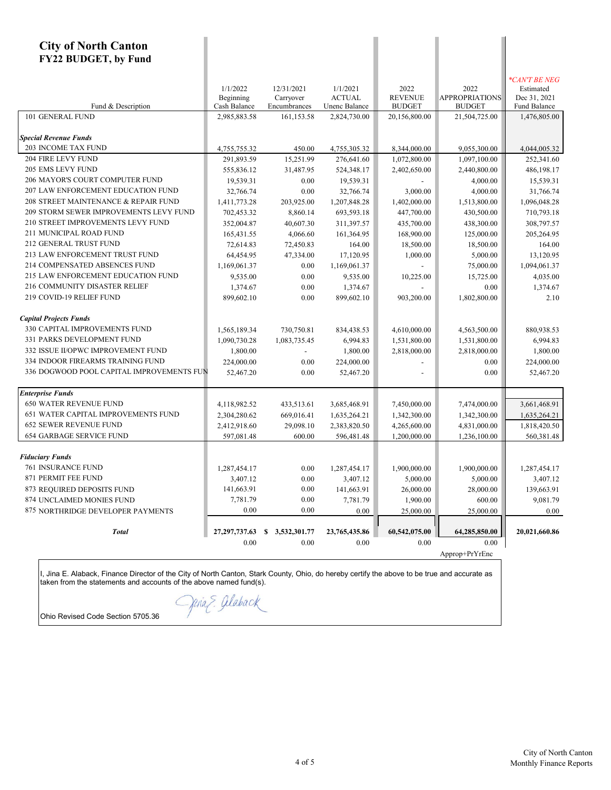| <b>City of North Canton</b><br><b>FY22 BUDGET, by Fund</b> |                                       |                                         |                                            |                                         |                                                |                                                            |
|------------------------------------------------------------|---------------------------------------|-----------------------------------------|--------------------------------------------|-----------------------------------------|------------------------------------------------|------------------------------------------------------------|
| Fund & Description                                         | 1/1/2022<br>Beginning<br>Cash Balance | 12/31/2021<br>Carryover<br>Encumbrances | 1/1/2021<br><b>ACTUAL</b><br>Unenc Balance | 2022<br><b>REVENUE</b><br><b>BUDGET</b> | 2022<br><b>APPROPRIATIONS</b><br><b>BUDGET</b> | *CAN'T BE NEG<br>Estimated<br>Dec 31, 2021<br>Fund Balance |
| 101 GENERAL FUND                                           | 2,985,883.58                          | 161,153.58                              | 2,824,730.00                               | 20,156,800.00                           | 21,504,725.00                                  | 1,476,805.00                                               |
|                                                            |                                       |                                         |                                            |                                         |                                                |                                                            |
| <b>Special Revenue Funds</b>                               |                                       |                                         |                                            |                                         |                                                |                                                            |
| <b>203 INCOME TAX FUND</b>                                 | 4,755,755.32                          | 450.00                                  | 4,755,305.32                               | 8,344,000.00                            | 9,055,300.00                                   | 4,044,005.32                                               |
| 204 FIRE LEVY FUND<br>205 EMS LEVY FUND                    | 291,893.59                            | 15,251.99                               | 276,641.60                                 | 1,072,800.00                            | 1,097,100.00                                   | 252,341.60                                                 |
| 206 MAYOR'S COURT COMPUTER FUND                            | 555,836.12                            | 31,487.95                               | 524,348.17                                 | 2,402,650.00                            | 2,440,800.00                                   | 486,198.17                                                 |
| 207 LAW ENFORCEMENT EDUCATION FUND                         | 19,539.31                             | 0.00                                    | 19,539.31                                  |                                         | 4,000.00                                       | 15,539.31                                                  |
| 208 STREET MAINTENANCE & REPAIR FUND                       | 32,766.74                             | 0.00                                    | 32,766.74                                  | 3,000.00                                | 4,000.00                                       | 31,766.74                                                  |
| 209 STORM SEWER IMPROVEMENTS LEVY FUND                     | 1,411,773.28                          | 203,925.00                              | 1,207,848.28                               | 1,402,000.00                            | 1,513,800.00                                   | 1,096,048.28                                               |
| 210 STREET IMPROVEMENTS LEVY FUND                          | 702,453.32                            | 8,860.14                                | 693,593.18                                 | 447,700.00                              | 430,500.00                                     | 710,793.18                                                 |
| 211 MUNICIPAL ROAD FUND                                    | 352,004.87                            | 40,607.30                               | 311,397.57                                 | 435,700.00                              | 438,300.00                                     | 308,797.57                                                 |
| 212 GENERAL TRUST FUND                                     | 165,431.55                            | 4,066.60                                | 161,364.95                                 | 168,900.00                              | 125,000.00                                     | 205,264.95                                                 |
| 213 LAW ENFORCEMENT TRUST FUND                             | 72,614.83                             | 72,450.83                               | 164.00                                     | 18,500.00                               | 18,500.00                                      | 164.00                                                     |
| 214 COMPENSATED ABSENCES FUND                              | 64,454.95                             | 47,334.00                               | 17,120.95                                  | 1,000.00                                | 5,000.00                                       | 13,120.95                                                  |
| 215 LAW ENFORCEMENT EDUCATION FUND                         | 1,169,061.37                          | 0.00                                    | 1,169,061.37                               |                                         | 75,000.00                                      | 1,094,061.37                                               |
| 216 COMMUNITY DISASTER RELIEF                              | 9,535.00                              | 0.00                                    | 9,535.00                                   | 10,225.00                               | 15,725.00                                      | 4,035.00                                                   |
| 219 COVID-19 RELIEF FUND                                   | 1,374.67                              | 0.00                                    | 1,374.67                                   |                                         | 0.00                                           | 1,374.67                                                   |
|                                                            | 899,602.10                            | 0.00                                    | 899,602.10                                 | 903,200.00                              | 1,802,800.00                                   | 2.10                                                       |
| <b>Capital Projects Funds</b>                              |                                       |                                         |                                            |                                         |                                                |                                                            |
| 330 CAPITAL IMPROVEMENTS FUND                              | 1,565,189.34                          | 730,750.81                              | 834,438.53                                 | 4,610,000.00                            | 4,563,500.00                                   | 880,938.53                                                 |
| 331 PARKS DEVELOPMENT FUND                                 | 1,090,730.28                          | 1,083,735.45                            | 6,994.83                                   | 1,531,800.00                            | 1,531,800.00                                   | 6,994.83                                                   |
| 332 ISSUE II/OPWC IMPROVEMENT FUND                         | 1,800.00                              |                                         | 1,800.00                                   | 2,818,000.00                            | 2,818,000.00                                   | 1,800.00                                                   |
| 334 INDOOR FIREARMS TRAINING FUND                          | 224,000.00                            | 0.00                                    | 224,000.00                                 |                                         | 0.00                                           | 224,000.00                                                 |
| 336 DOGWOOD POOL CAPITAL IMPROVEMENTS FUN                  | 52,467.20                             | 0.00                                    | 52,467.20                                  |                                         | 0.00                                           | 52,467.20                                                  |
|                                                            |                                       |                                         |                                            |                                         |                                                |                                                            |
| <b>Enterprise Funds</b>                                    |                                       |                                         |                                            |                                         |                                                |                                                            |
| <b>650 WATER REVENUE FUND</b>                              | 4,118,982.52                          | 433,513.61                              | 3,685,468.91                               | 7,450,000.00                            | 7,474,000.00                                   | 3,661,468.91                                               |
| 651 WATER CAPITAL IMPROVEMENTS FUND                        | 2,304,280.62                          | 669,016.41                              | 1,635,264.21                               | 1,342,300.00                            | 1,342,300.00                                   | 1,635,264.21                                               |
| 652 SEWER REVENUE FUND                                     | 2,412,918.60                          | 29,098.10                               | 2,383,820.50                               | 4,265,600.00                            | 4,831,000.00                                   | 1,818,420.50                                               |
| <b>654 GARBAGE SERVICE FUND</b>                            | 597,081.48                            | 600.00                                  | 596,481.48                                 | 1,200,000.00                            | 1,236,100.00                                   | 560,381.48                                                 |
|                                                            |                                       |                                         |                                            |                                         |                                                |                                                            |
| <b>Fiduciary Funds</b>                                     |                                       |                                         |                                            |                                         |                                                |                                                            |
| <b>761 INSURANCE FUND</b>                                  | 1,287,454.17                          | 0.00                                    | 1,287,454.17                               | 1,900,000.00                            | 1,900,000.00                                   | 1,287,454.17                                               |
| 871 PERMIT FEE FUND                                        | 3,407.12                              | 0.00                                    | 3,407.12                                   | 5,000.00                                | 5,000.00                                       | 3,407.12                                                   |
| 873 REQUIRED DEPOSITS FUND                                 | 141,663.91                            | 0.00                                    | 141,663.91                                 | 26,000.00                               | 28,000.00                                      | 139,663.91                                                 |
| 874 UNCLAIMED MONIES FUND                                  | 7,781.79                              | 0.00                                    | 7,781.79                                   | 1,900.00                                | 600.00                                         | 9,081.79                                                   |
| 875 NORTHRIDGE DEVELOPER PAYMENTS                          | $0.00\,$                              | 0.00                                    | 0.00                                       | 25,000.00                               | 25,000.00                                      | 0.00                                                       |
|                                                            |                                       |                                         |                                            |                                         |                                                |                                                            |
| <b>Total</b>                                               | 27, 297, 737. 63                      | 3,532,301.77<br>S                       | 23,765,435.86                              | 60,542,075.00                           | 64,285,850.00                                  | 20,021,660.86                                              |
|                                                            | $0.00\,$                              | 0.00                                    | 0.00                                       | 0.00                                    | 0.00                                           |                                                            |
|                                                            |                                       |                                         |                                            |                                         | Approp+PrYrEnc                                 |                                                            |

I, Jina E. Alaback, Finance Director of the City of North Canton, Stark County, Ohio, do hereby certify the above to be true and accurate as taken from the statements and accounts of the above named fund(s).

Ohio Revised Code Section 5705.36